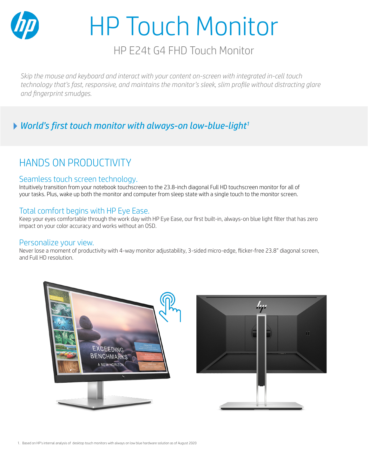

# HP Touch Monitor

## HP E24t G4 FHD Touch Monitor

*Skip the mouse and keyboard and interact with your content on-screen with integrated in-cell touch technology that's fast, responsive, and maintains the monitor's sleek, slim profile without distracting glare and fingerprint smudges.* 

### *World's first touch monitor with always-on low-blue-light1*

# HANDS ON PRODUCTIVITY

#### Seamless touch screen technology.

Intuitively transition from your notebook touchscreen to the 23.8-inch diagonal Full HD touchscreen monitor for all of your tasks. Plus, wake up both the monitor and computer from sleep state with a single touch to the monitor screen.

#### Total comfort begins with HP Eye Ease.

Keep your eyes comfortable through the work day with HP Eye Ease, our first built-in, always-on blue light filter that has zero impact on your color accuracy and works without an OSD.

#### Personalize your view.

Never lose a moment of productivity with 4-way monitor adjustability, 3-sided micro-edge, flicker-free 23.8" diagonal screen, and Full HD resolution.